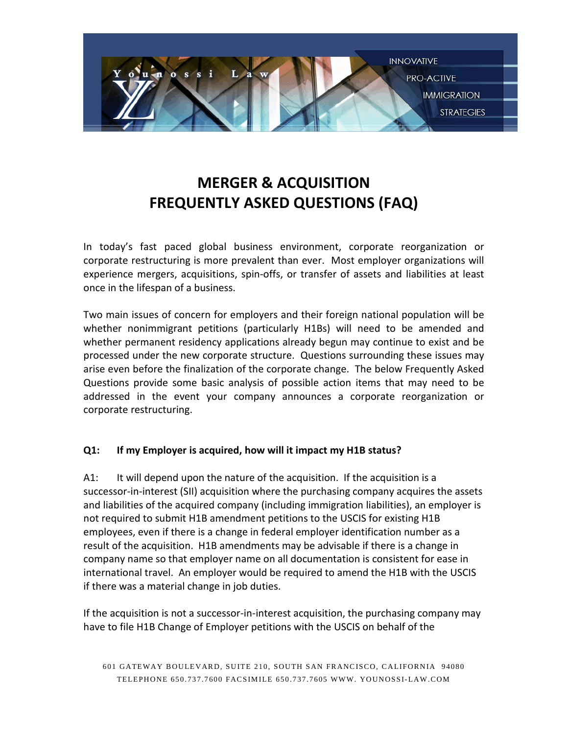

# **MERGER & ACQUISITION FREQUENTLY ASKED QUESTIONS (FAQ)**

In today's fast paced global business environment, corporate reorganization or corporate restructuring is more prevalent than ever. Most employer organizations will experience mergers, acquisitions, spin-offs, or transfer of assets and liabilities at least once in the lifespan of a business.

Two main issues of concern for employers and their foreign national population will be whether nonimmigrant petitions (particularly H1Bs) will need to be amended and whether permanent residency applications already begun may continue to exist and be processed under the new corporate structure. Questions surrounding these issues may arise even before the finalization of the corporate change. The below Frequently Asked Questions provide some basic analysis of possible action items that may need to be addressed in the event your company announces a corporate reorganization or corporate restructuring.

## **Q1: If my Employer is acquired, how will it impact my H1B status?**

A1: It will depend upon the nature of the acquisition. If the acquisition is a successor-in-interest (SII) acquisition where the purchasing company acquires the assets and liabilities of the acquired company (including immigration liabilities), an employer is not required to submit H1B amendment petitions to the USCIS for existing H1B employees, even if there is a change in federal employer identification number as a result of the acquisition. H1B amendments may be advisable if there is a change in company name so that employer name on all documentation is consistent for ease in international travel. An employer would be required to amend the H1B with the USCIS if there was a material change in job duties.

If the acquisition is not a successor-in-interest acquisition, the purchasing company may have to file H1B Change of Employer petitions with the USCIS on behalf of the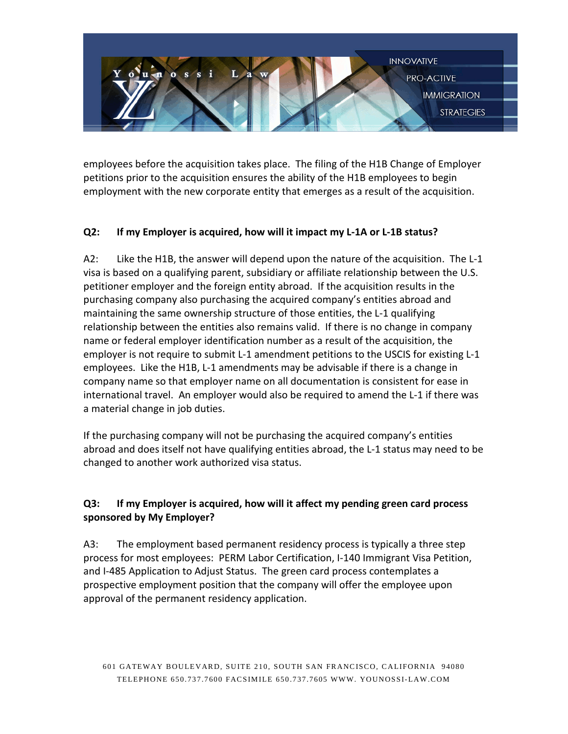

employees before the acquisition takes place. The filing of the H1B Change of Employer petitions prior to the acquisition ensures the ability of the H1B employees to begin employment with the new corporate entity that emerges as a result of the acquisition.

## **Q2: If my Employer is acquired, how will it impact my L-1A or L-1B status?**

A2: Like the H1B, the answer will depend upon the nature of the acquisition. The L-1 visa is based on a qualifying parent, subsidiary or affiliate relationship between the U.S. petitioner employer and the foreign entity abroad. If the acquisition results in the purchasing company also purchasing the acquired company's entities abroad and maintaining the same ownership structure of those entities, the L-1 qualifying relationship between the entities also remains valid. If there is no change in company name or federal employer identification number as a result of the acquisition, the employer is not require to submit L-1 amendment petitions to the USCIS for existing L-1 employees. Like the H1B, L-1 amendments may be advisable if there is a change in company name so that employer name on all documentation is consistent for ease in international travel. An employer would also be required to amend the L-1 if there was a material change in job duties.

If the purchasing company will not be purchasing the acquired company's entities abroad and does itself not have qualifying entities abroad, the L-1 status may need to be changed to another work authorized visa status.

# **Q3: If my Employer is acquired, how will it affect my pending green card process sponsored by My Employer?**

A3: The employment based permanent residency process is typically a three step process for most employees: PERM Labor Certification, I-140 Immigrant Visa Petition, and I-485 Application to Adjust Status. The green card process contemplates a prospective employment position that the company will offer the employee upon approval of the permanent residency application.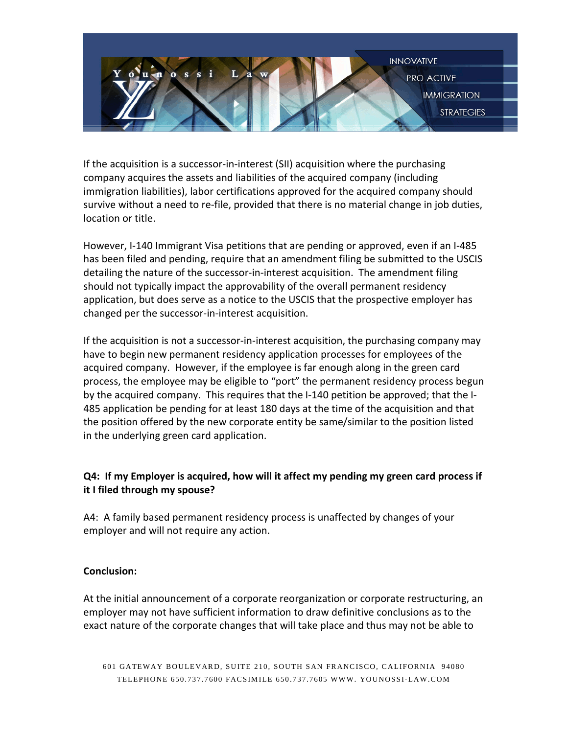

If the acquisition is a successor-in-interest (SII) acquisition where the purchasing company acquires the assets and liabilities of the acquired company (including immigration liabilities), labor certifications approved for the acquired company should survive without a need to re-file, provided that there is no material change in job duties, location or title.

However, I-140 Immigrant Visa petitions that are pending or approved, even if an I-485 has been filed and pending, require that an amendment filing be submitted to the USCIS detailing the nature of the successor-in-interest acquisition. The amendment filing should not typically impact the approvability of the overall permanent residency application, but does serve as a notice to the USCIS that the prospective employer has changed per the successor-in-interest acquisition.

If the acquisition is not a successor-in-interest acquisition, the purchasing company may have to begin new permanent residency application processes for employees of the acquired company. However, if the employee is far enough along in the green card process, the employee may be eligible to "port" the permanent residency process begun by the acquired company. This requires that the I-140 petition be approved; that the I-485 application be pending for at least 180 days at the time of the acquisition and that the position offered by the new corporate entity be same/similar to the position listed in the underlying green card application.

# **Q4: If my Employer is acquired, how will it affect my pending my green card process if it I filed through my spouse?**

A4: A family based permanent residency process is unaffected by changes of your employer and will not require any action.

## **Conclusion:**

At the initial announcement of a corporate reorganization or corporate restructuring, an employer may not have sufficient information to draw definitive conclusions as to the exact nature of the corporate changes that will take place and thus may not be able to